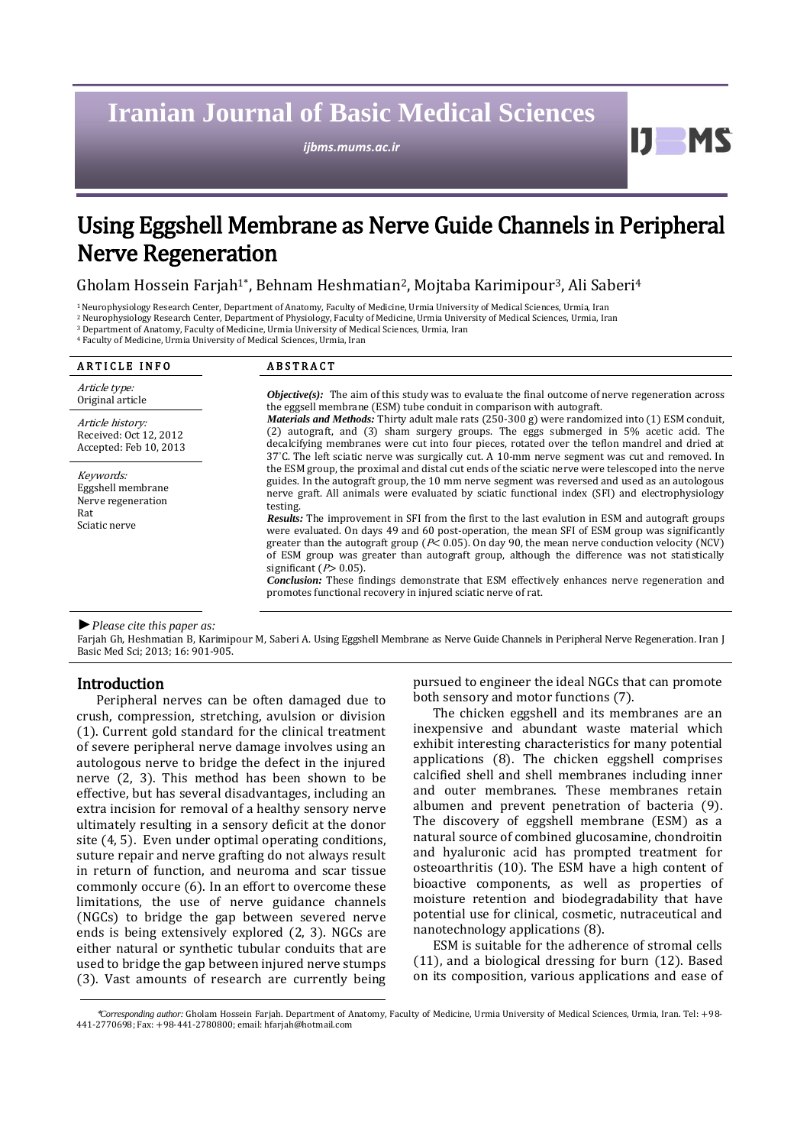# **Iranian Journal of Basic Medical Sciences**

*ijbms.mums.ac.ir*

11

# Using Eggshell Membrane as Nerve Guide Channels in Peripheral Nerve Regeneration

Gholam Hossein Farjah<sup>1\*</sup>, Behnam Heshmatian<sup>2</sup>, Mojtaba Karimipour<sup>3</sup>, Ali Saberi<sup>4</sup>

<sup>1</sup>Neurophysiology Research Center, Department of Anatomy, Faculty of Medicine, Urmia University of Medical Sciences, Urmia, Iran

<sup>2</sup> Neurophysiology Research Center, Department of Physiology, Faculty of Medicine, Urmia University of Medical Sciences, Urmia, Iran

<sup>3</sup> Department of Anatomy, Faculty of Medicine, Urmia University of Medical Sciences, Urmia, Iran <sup>4</sup> Faculty of Medicine, Urmia University of Medical Sciences, Urmia, Iran

| <b>ARTICLE INFO</b>                                                          | <b>ABSTRACT</b>                                                                                                                                                                                                                                                                                                                                                                                                                                                                                                                                                                                                                                                                                                                                                                                                                                                                                                                               |  |
|------------------------------------------------------------------------------|-----------------------------------------------------------------------------------------------------------------------------------------------------------------------------------------------------------------------------------------------------------------------------------------------------------------------------------------------------------------------------------------------------------------------------------------------------------------------------------------------------------------------------------------------------------------------------------------------------------------------------------------------------------------------------------------------------------------------------------------------------------------------------------------------------------------------------------------------------------------------------------------------------------------------------------------------|--|
| Article type:<br>Original article                                            | <i>Objective(s):</i> The aim of this study was to evaluate the final outcome of nerve regeneration across<br>the eggsell membrane (ESM) tube conduit in comparison with autograft.                                                                                                                                                                                                                                                                                                                                                                                                                                                                                                                                                                                                                                                                                                                                                            |  |
| Article history:<br>Received: Oct 12, 2012<br>Accepted: Feb 10, 2013         | Materials and Methods: Thirty adult male rats (250-300 g) were randomized into (1) ESM conduit,<br>(2) autograft, and (3) sham surgery groups. The eggs submerged in 5% acetic acid. The<br>decalcifying membranes were cut into four pieces, rotated over the teflon mandrel and dried at<br>$37^{\circ}$ C. The left sciatic nerve was surgically cut. A 10-mm nerve segment was cut and removed. In                                                                                                                                                                                                                                                                                                                                                                                                                                                                                                                                        |  |
| Keywords:<br>Eggshell membrane<br>Nerve regeneration<br>Rat<br>Sciatic nerve | the ESM group, the proximal and distal cut ends of the sciatic nerve were telescoped into the nerve<br>guides. In the autograft group, the 10 mm nerve segment was reversed and used as an autologous<br>nerve graft. All animals were evaluated by sciatic functional index (SFI) and electrophysiology<br>testing.<br><b>Results:</b> The improvement in SFI from the first to the last evalution in ESM and autograft groups<br>were evaluated. On days 49 and 60 post-operation, the mean SFI of ESM group was significantly<br>greater than the autograft group ( $P$ < 0.05). On day 90, the mean nerve conduction velocity (NCV)<br>of ESM group was greater than autograft group, although the difference was not statistically<br>significant ( $P > 0.05$ ).<br><b>Conclusion:</b> These findings demonstrate that ESM effectively enhances nerve regeneration and<br>promotes functional recovery in injured sciatic nerve of rat. |  |

*►Please cite this paper as:*

Farjah Gh, Heshmatian B, Karimipour M, Saberi A. Using Eggshell Membrane as Nerve Guide Channels in Peripheral Nerve Regeneration. Iran J Basic Med Sci; 2013; 16: 901-905.

# **Introduction**

Peripheral nerves can be often damaged due to crush, compression, stretching, avulsion or division (1). Current gold standard for the clinical treatment of severe peripheral nerve damage involves using an autologous nerve to bridge the defect in the injured nerve (2, 3). This method has been shown to be effective, but has several disadvantages, including an extra incision for removal of a healthy sensory nerve ultimately resulting in a sensory deficit at the donor site (4, 5). Even under optimal operating conditions, suture repair and nerve grafting do not always result in return of function, and neuroma and scar tissue commonly occure (6). In an effort to overcome these limitations, the use of nerve guidance channels (NGCs) to bridge the gap between severed nerve ends is being extensively explored (2, 3). NGCs are either natural or synthetic tubular conduits that are used to bridge the gap between injured nerve stumps (3). Vast amounts of research are currently being pursued to engineer the ideal NGCs that can promote both sensory and motor functions (7).

The chicken eggshell and its membranes are an inexpensive and abundant waste material which exhibit interesting characteristics for many potential applications (8). The chicken eggshell comprises calcified shell and shell membranes including inner and outer membranes. These membranes retain albumen and prevent penetration of bacteria (9). The discovery of eggshell membrane (ESM) as a natural source of combined glucosamine, chondroitin and hyaluronic acid has prompted treatment for osteoarthritis (10). The ESM have a high content of bioactive components, as well as properties of moisture retention and biodegradability that have potential use for clinical, cosmetic, nutraceutical and nanotechnology applications (8).

ESM is suitable for the adherence of stromal cells (11), and a biological dressing for burn (12). Based on its composition, various applications and ease of

<sup>\*</sup>*Corresponding author:* Gholam Hossein Farjah. Department of Anatomy, Faculty of Medicine, Urmia University of Medical Sciences, Urmia, Iran. Tel: +98- 441-2770698; Fax: +98-441-2780800; email: [hfarjah@hotmail.com](mailto:hfarjah@hotmail.com)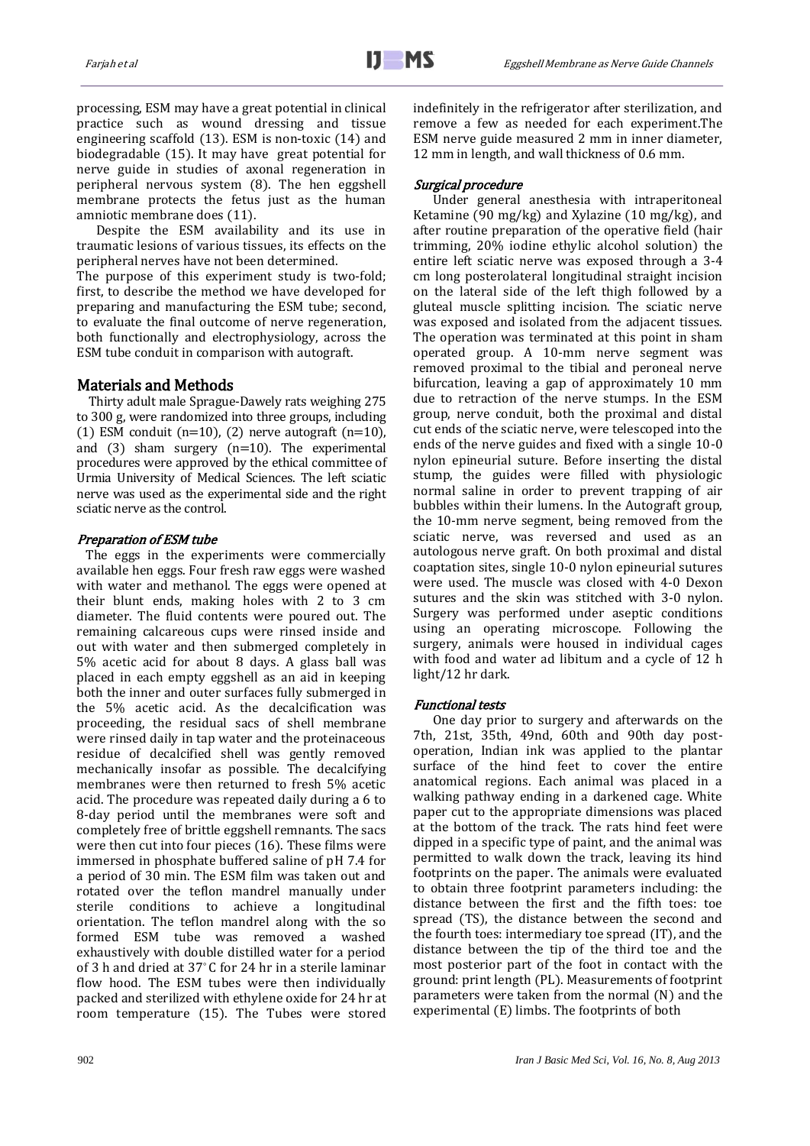processing, ESM may have a great potential in clinical practice such as wound dressing and tissue engineering scaffold (13). ESM is non-toxic (14) and biodegradable (15). It may have great potential for nerve guide in studies of axonal regeneration in peripheral nervous system (8). The hen eggshell membrane protects the fetus just as the human amniotic membrane does (11).

Despite the ESM availability and its use in traumatic lesions of various tissues, its effects on the peripheral nerves have not been determined.

The purpose of this experiment study is two-fold; first, to describe the method we have developed for preparing and manufacturing the ESM tube; second, to evaluate the final outcome of nerve regeneration, both functionally and electrophysiology, across the ESM tube conduit in comparison with autograft.

# Materials and Methods

 Thirty adult male Sprague-Dawely rats weighing 275 to 300 g, were randomized into three groups, including (1) ESM conduit ( $n=10$ ), (2) nerve autograft ( $n=10$ ), and  $(3)$  sham surgery  $(n=10)$ . The experimental procedures were approved by the ethical committee of Urmia University of Medical Sciences. The left sciatic nerve was used as the experimental side and the right sciatic nerve as the control.

# Preparation of ESM tube

 The eggs in the experiments were commercially available hen eggs. Four fresh raw eggs were washed with water and methanol. The eggs were opened at their blunt ends, making holes with 2 to 3 cm diameter. The fluid contents were poured out. The remaining calcareous cups were rinsed inside and out with water and then submerged completely in 5% acetic acid for about 8 days. A glass ball was placed in each empty eggshell as an aid in keeping both the inner and outer surfaces fully submerged in the 5% acetic acid. As the decalcification was proceeding, the residual sacs of shell membrane were rinsed daily in tap water and the proteinaceous residue of decalcified shell was gently removed mechanically insofar as possible. The decalcifying membranes were then returned to fresh 5% acetic acid. The procedure was repeated daily during a 6 to 8-day period until the membranes were soft and completely free of brittle eggshell remnants. The sacs were then cut into four pieces (16). These films were immersed in phosphate buffered saline of pH 7.4 for a period of 30 min. The ESM film was taken out and rotated over the teflon mandrel manually under sterile conditions to achieve a longitudinal orientation. The teflon mandrel along with the so formed ESM tube was removed a washed exhaustively with double distilled water for a period of 3 h and dried at 37° C for 24 hr in a sterile laminar flow hood. The ESM tubes were then individually packed and sterilized with ethylene oxide for 24 hr at room temperature (15). The Tubes were stored indefinitely in the refrigerator after sterilization, and remove a few as needed for each experiment.The ESM nerve guide measured 2 mm in inner diameter, 12 mm in length, and wall thickness of 0.6 mm.

# Surgical procedure

Under general anesthesia with intraperitoneal Ketamine (90 mg/kg) and Xylazine (10 mg/kg), and after routine preparation of the operative field (hair trimming, 20% iodine ethylic alcohol solution) the entire left sciatic nerve was exposed through a 3-4 cm long posterolateral longitudinal straight incision on the lateral side of the left thigh followed by a gluteal muscle splitting incision. The sciatic nerve was exposed and isolated from the adjacent tissues. The operation was terminated at this point in sham operated group. A 10-mm nerve segment was removed proximal to the tibial and peroneal nerve bifurcation, leaving a gap of approximately 10 mm due to retraction of the nerve stumps. In the ESM group, nerve conduit, both the proximal and distal cut ends of the sciatic nerve, were telescoped into the ends of the nerve guides and fixed with a single 10-0 nylon epineurial suture. Before inserting the distal stump, the guides were filled with physiologic normal saline in order to prevent trapping of air bubbles within their lumens. In the Autograft group, the 10-mm nerve segment, being removed from the sciatic nerve, was reversed and used as an autologous nerve graft. On both proximal and distal coaptation sites, single 10-0 nylon epineurial sutures were used. The muscle was closed with 4-0 Dexon sutures and the skin was stitched with 3-0 nylon. Surgery was performed under aseptic conditions using an operating microscope. Following the surgery, animals were housed in individual cages with food and water ad libitum and a cycle of 12 h light/12 hr dark.

# Functional tests

One day prior to surgery and afterwards on the 7th, 21st, 35th, 49nd, 60th and 90th day postoperation, Indian ink was applied to the plantar surface of the hind feet to cover the entire anatomical regions. Each animal was placed in a walking pathway ending in a darkened cage. White paper cut to the appropriate dimensions was placed at the bottom of the track. The rats hind feet were dipped in a specific type of paint, and the animal was permitted to walk down the track, leaving its hind footprints on the paper. The animals were evaluated to obtain three footprint parameters including: the distance between the first and the fifth toes: toe spread (TS), the distance between the second and the fourth toes: intermediary toe spread (IT), and the distance between the tip of the third toe and the most posterior part of the foot in contact with the ground: print length (PL). Measurements of footprint parameters were taken from the normal (N) and the experimental (E) limbs. The footprints of both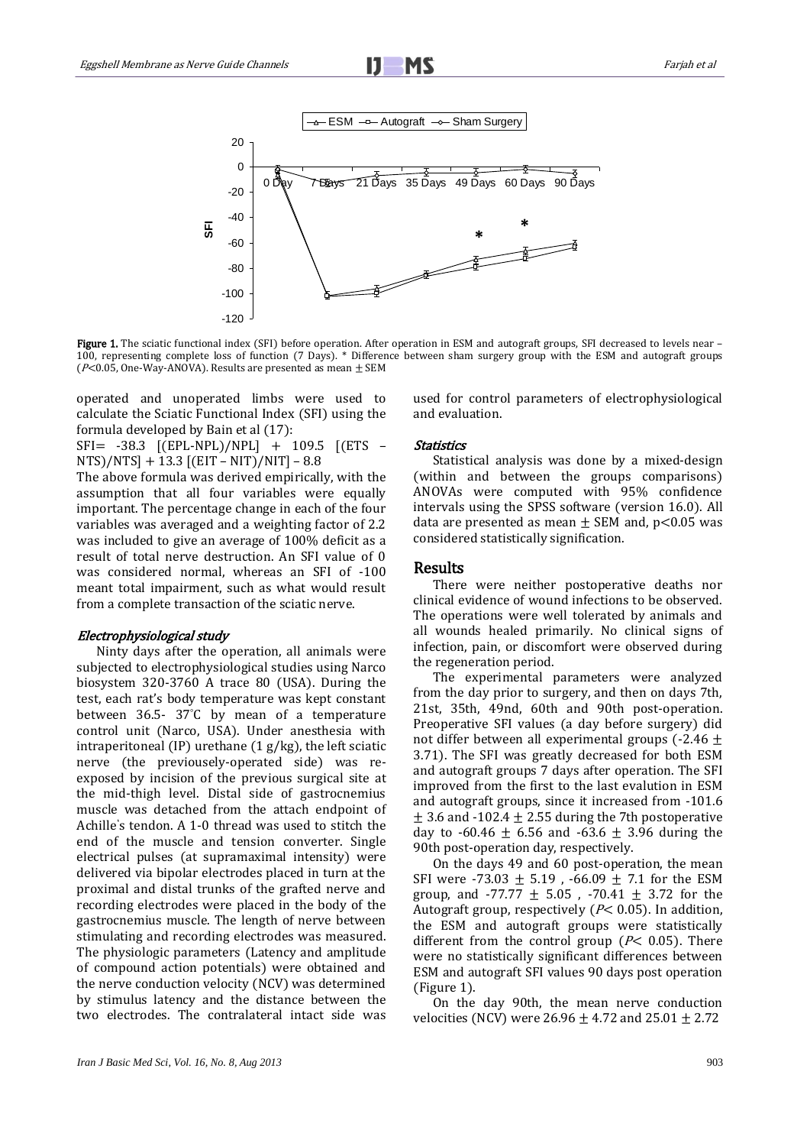

Figure 1. The sciatic functional index (SFI) before operation. After operation in ESM and autograft groups, SFI decreased to levels near -100, representing complete loss of function (7 Days). \* Difference between sham surgery group with the ESM and autograft groups ( $P<$ 0.05, One-Way-ANOVA). Results are presented as mean  $\pm$  SEM

operated and unoperated limbs were used to calculate the Sciatic Functional Index (SFI) using the formula developed by Bain et al (17):

SFI= -38.3 [(EPL-NPL)/NPL] + 109.5 [(ETS – NTS)/NTS] + 13.3 [(EIT – NIT)/NIT] – 8.8

The above formula was derived empirically, with the assumption that all four variables were equally important. The percentage change in each of the four variables was averaged and a weighting factor of 2.2 was included to give an average of 100% deficit as a result of total nerve destruction. An SFI value of 0 was considered normal, whereas an SFI of -100 meant total impairment, such as what would result from a complete transaction of the sciatic nerve.

#### Electrophysiological study

Ninty days after the operation, all animals were subjected to electrophysiological studies using Narco biosystem 320-3760 A trace 80 (USA). During the test, each rat's body temperature was kept constant between 36.5- 37°C by mean of a temperature control unit (Narco, USA). Under anesthesia with intraperitoneal (IP) urethane  $(1 g/kg)$ , the left sciatic nerve (the previousely-operated side) was reexposed by incision of the previous surgical site at the mid-thigh level. Distal side of gastrocnemius muscle was detached from the attach endpoint of Achille's tendon. A 1-0 thread was used to stitch the end of the muscle and tension converter. Single electrical pulses (at supramaximal intensity) were delivered via bipolar electrodes placed in turn at the proximal and distal trunks of the grafted nerve and recording electrodes were placed in the body of the gastrocnemius muscle. The length of nerve between stimulating and recording electrodes was measured. The physiologic parameters (Latency and amplitude of compound action potentials) were obtained and the nerve conduction velocity (NCV) was determined by stimulus latency and the distance between the two electrodes. The contralateral intact side was

used for control parameters of electrophysiological and evaluation.

### Statistics

Statistical analysis was done by a mixed-design (within and between the groups comparisons) ANOVAs were computed with 95% confidence intervals using the SPSS software (version 16.0). All data are presented as mean  $\pm$  SEM and, p<0.05 was considered statistically signification.

### Results

There were neither postoperative deaths nor clinical evidence of wound infections to be observed. The operations were well tolerated by animals and all wounds healed primarily. No clinical signs of infection, pain, or discomfort were observed during the regeneration period.

The experimental parameters were analyzed from the day prior to surgery, and then on days 7th, 21st, 35th, 49nd, 60th and 90th post-operation. Preoperative SFI values (a day before surgery) did not differ between all experimental groups (-2.46  $\pm$ 3.71). The SFI was greatly decreased for both ESM and autograft groups 7 days after operation. The SFI improved from the first to the last evalution in ESM and autograft groups, since it increased from -101.6  $\pm$  3.6 and -102.4  $\pm$  2.55 during the 7th postoperative day to -60.46  $\pm$  6.56 and -63.6  $\pm$  3.96 during the 90th post-operation day, respectively.

On the days 49 and 60 post-operation, the mean SFI were -73.03  $\pm$  5.19, -66.09  $\pm$  7.1 for the ESM group, and -77.77  $\pm$  5.05 , -70.41  $\pm$  3.72 for the Autograft group, respectively ( $P$ < 0.05). In addition, the ESM and autograft groups were statistically different from the control group ( $P$ < 0.05). There were no statistically significant differences between ESM and autograft SFI values 90 days post operation (Figure 1).

On the day 90th, the mean nerve conduction velocities (NCV) were 26.96  $\pm$  4.72 and 25.01  $\pm$  2.72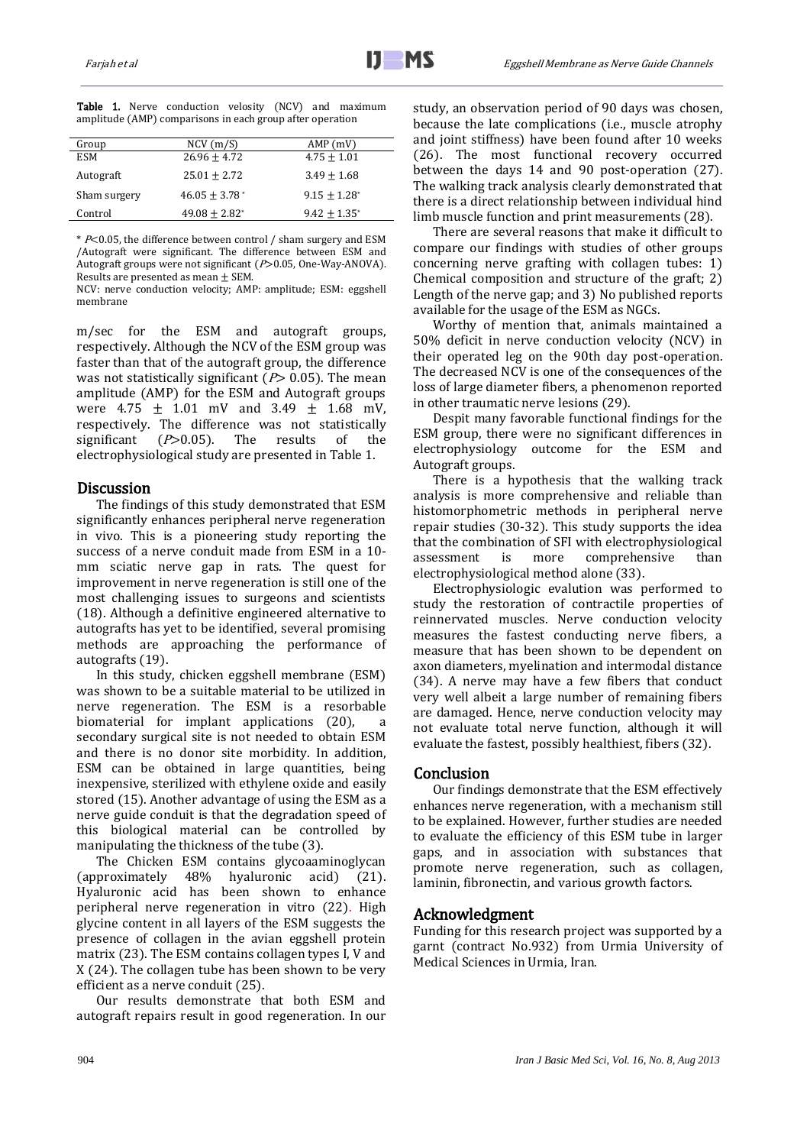| Group        | NCV(m/S)                    | AMP(mV)                    |
|--------------|-----------------------------|----------------------------|
| <b>ESM</b>   | $26.96 + 4.72$              | $4.75 + 1.01$              |
| Autograft    | $25.01 + 2.72$              | $3.49 + 1.68$              |
| Sham surgery | $46.05 + 3.78$ <sup>*</sup> | $9.15 + 1.28$ <sup>*</sup> |
| Control      | $49.08 + 2.82^*$            | $9.42 + 1.35$ <sup>*</sup> |

Table 1. Nerve conduction velosity (NCV) and maximum amplitude (AMP) comparisons in each group after operation

\* P<0.05, the difference between control / sham surgery and ESM /Autograft were significant. The difference between ESM and Autograft groups were not significant ( $P > 0.05$ , One-Way-ANOVA). Results are presented as mean  $\pm$  SEM.

NCV: nerve conduction velocity; AMP: amplitude; ESM: eggshell membrane

m/sec for the ESM and autograft groups, respectively. Although the NCV of the ESM group was faster than that of the autograft group, the difference was not statistically significant ( $P$ > 0.05). The mean amplitude (AMP) for the ESM and Autograft groups were  $4.75 \pm 1.01$  mV and  $3.49 \pm 1.68$  mV, respectively. The difference was not statistically significant  $(P>0.05)$ . The results of the electrophysiological study are presented in Table 1.

# **Discussion**

The findings of this study demonstrated that ESM significantly enhances peripheral nerve regeneration in vivo. This is a pioneering study reporting the success of a nerve conduit made from ESM in a 10 mm sciatic nerve gap in rats. The quest for improvement in nerve regeneration is still one of the most challenging issues to surgeons and scientists (18). Although a definitive engineered alternative to autografts has yet to be identified, several promising methods are approaching the performance of autografts (19).

In this study, chicken eggshell membrane (ESM) was shown to be a suitable material to be utilized in nerve regeneration. The ESM is a resorbable biomaterial for implant applications  $(20)$ , secondary surgical site is not needed to obtain ESM and there is no donor site morbidity. In addition, ESM can be obtained in large quantities, being inexpensive, sterilized with ethylene oxide and easily stored (15). Another advantage of using the ESM as a nerve guide conduit is that the degradation speed of this biological material can be controlled by manipulating the thickness of the tube (3).

The Chicken ESM contains glycoaaminoglycan (approximately 48% hyaluronic acid) (21). Hyaluronic acid has been shown to enhance peripheral nerve regeneration in vitro (22). High glycine content in all layers of the ESM suggests the presence of collagen in the avian eggshell protein matrix (23). The ESM contains collagen types I, V and X (24). The collagen tube has been shown to be very efficient as a nerve conduit (25).

Our results demonstrate that both ESM and autograft repairs result in good regeneration. In our study, an observation period of 90 days was chosen, because the late complications (i.e., muscle atrophy and joint stiffness) have been found after 10 weeks (26). The most functional recovery occurred between the days 14 and 90 post-operation (27). The walking track analysis clearly demonstrated that there is a direct relationship between individual hind limb muscle function and print measurements (28).

There are several reasons that make it difficult to compare our findings with studies of other groups concerning nerve grafting with collagen tubes: 1) Chemical composition and structure of the graft; 2) Length of the nerve gap; and 3) No published reports available for the usage of the ESM as NGCs.

Worthy of mention that, animals maintained a 50% deficit in nerve conduction velocity (NCV) in their operated leg on the 90th day post-operation. The decreased NCV is one of the consequences of the loss of large diameter fibers, a phenomenon reported in other traumatic nerve lesions (29).

Despit many favorable functional findings for the ESM group, there were no significant differences in electrophysiology outcome for the ESM and Autograft groups.

There is a hypothesis that the walking track analysis is more comprehensive and reliable than histomorphometric methods in peripheral nerve repair studies (30-32). This study supports the idea that the combination of SFI with electrophysiological assessment is more comprehensive than electrophysiological method alone (33).

Electrophysiologic evalution was performed to study the restoration of contractile properties of reinnervated muscles. Nerve conduction velocity measures the fastest conducting nerve fibers, a measure that has been shown to be dependent on axon diameters, myelination and intermodal distance (34). A nerve may have a few fibers that conduct very well albeit a large number of remaining fibers are damaged. Hence, nerve conduction velocity may not evaluate total nerve function, although it will evaluate the fastest, possibly healthiest, fibers (32).

# **Conclusion**

Our findings demonstrate that the ESM effectively enhances nerve regeneration, with a mechanism still to be explained. However, further studies are needed to evaluate the efficiency of this ESM tube in larger gaps, and in association with substances that promote nerve regeneration, such as collagen, laminin, fibronectin, and various growth factors.

# Acknowledgment

Funding for this research project was supported by a garnt (contract No.932) from Urmia University of Medical Sciences in Urmia, Iran.